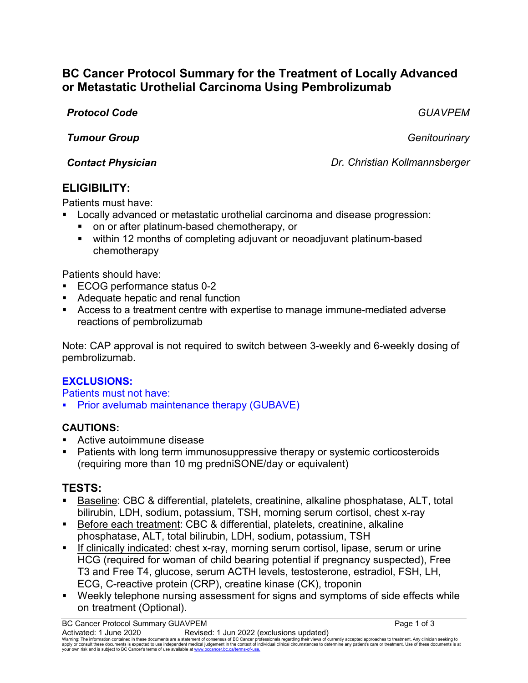# **BC Cancer Protocol Summary for the Treatment of Locally Advanced or Metastatic Urothelial Carcinoma Using Pembrolizumab**

*Protocol Code GUAVPEM*

*Tumour Group Genitourinary*

*Contact Physician Dr. Christian Kollmannsberger*

## **ELIGIBILITY:**

Patients must have:

- Locally advanced or metastatic urothelial carcinoma and disease progression: on or after platinum-based chemotherapy, or
	- within 12 months of completing adjuvant or neoadjuvant platinum-based chemotherapy

Patients should have:

- ECOG performance status 0-2
- Adequate hepatic and renal function
- Access to a treatment centre with expertise to manage immune-mediated adverse reactions of pembrolizumab

Note: CAP approval is not required to switch between 3-weekly and 6-weekly dosing of pembrolizumab.

## **EXCLUSIONS:**

Patients must not have:

Prior avelumab maintenance therapy (GUBAVE)

## **CAUTIONS:**

- Active autoimmune disease
- **Patients with long term immunosuppressive therapy or systemic corticosteroids** (requiring more than 10 mg predniSONE/day or equivalent)

# **TESTS:**

- Baseline: CBC & differential, platelets, creatinine, alkaline phosphatase, ALT, total bilirubin, LDH, sodium, potassium, TSH, morning serum cortisol, chest x-ray
- Before each treatment: CBC & differential, platelets, creatinine, alkaline phosphatase, ALT, total bilirubin, LDH, sodium, potassium, TSH
- **If clinically indicated: chest x-ray, morning serum cortisol, lipase, serum or urine** HCG (required for woman of child bearing potential if pregnancy suspected), Free T3 and Free T4, glucose, serum ACTH levels, testosterone, estradiol, FSH, LH, ECG, C-reactive protein (CRP), creatine kinase (CK), troponin
- Weekly telephone nursing assessment for signs and symptoms of side effects while on treatment (Optional).

BC Cancer Protocol Summary GUAVPEM **Page 1 of 3** Page 1 of 3 Activated: 1 June 2020 Revised: 1 Jun 2022 (exclusions updated)

Waming: The information contained in these documents are a statement of consensus of BC Cancer professionals regarding their views of currently accepted approaches to treatment. Any clinicial sexpected by the sector of the your own risk and is subject to BC Cancer's terms of use available at www.bccancer.bc.ca/terms-of-us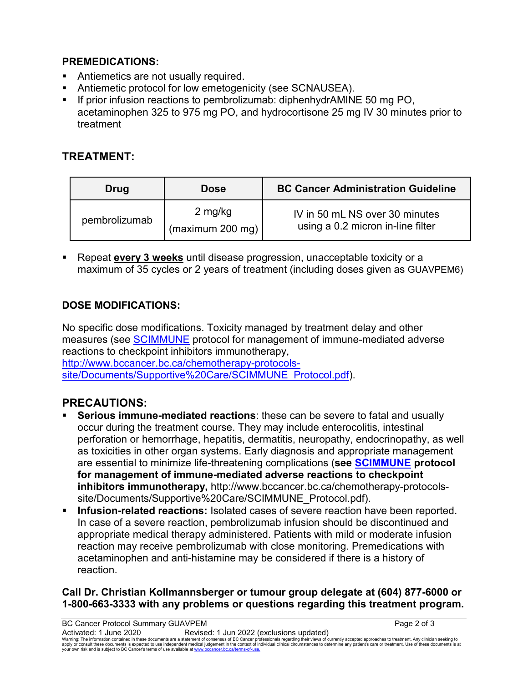### **PREMEDICATIONS:**

- Antiemetics are not usually required.
- Antiemetic protocol for low emetogenicity (see SCNAUSEA).
- If prior infusion reactions to pembrolizumab: diphenhydrAMINE 50 mg PO, acetaminophen 325 to 975 mg PO, and hydrocortisone 25 mg IV 30 minutes prior to treatment

# **TREATMENT:**

| Drug          | <b>Dose</b>                 | <b>BC Cancer Administration Guideline</b>                           |
|---------------|-----------------------------|---------------------------------------------------------------------|
| pembrolizumab | 2 mg/kg<br>(maximum 200 mg) | IV in 50 mL NS over 30 minutes<br>using a 0.2 micron in-line filter |

 Repeat **every 3 weeks** until disease progression, unacceptable toxicity or a maximum of 35 cycles or 2 years of treatment (including doses given as GUAVPEM6)

## **DOSE MODIFICATIONS:**

No specific dose modifications. Toxicity managed by treatment delay and other measures (see [SCIMMUNE](http://www.bccancer.bc.ca/chemotherapy-protocols-site/Documents/Supportive%20Care/SCIMMUNE_Protocol.pdf) protocol for management of immune-mediated adverse reactions to checkpoint inhibitors immunotherapy,

[http://www.bccancer.bc.ca/chemotherapy-protocols](http://www.bccancer.bc.ca/chemotherapy-protocols-site/Documents/Supportive%20Care/SCIMMUNE_Protocol.pdf)[site/Documents/Supportive%20Care/SCIMMUNE\\_Protocol.pdf\)](http://www.bccancer.bc.ca/chemotherapy-protocols-site/Documents/Supportive%20Care/SCIMMUNE_Protocol.pdf).

# **PRECAUTIONS:**

- **Serious immune-mediated reactions**: these can be severe to fatal and usually occur during the treatment course. They may include enterocolitis, intestinal perforation or hemorrhage, hepatitis, dermatitis, neuropathy, endocrinopathy, as well as toxicities in other organ systems. Early diagnosis and appropriate management are essential to minimize life-threatening complications (**see [SCIMMUNE](http://www.bccancer.bc.ca/chemotherapy-protocols-site/Documents/Supportive%20Care/SCIMMUNE_Protocol.pdf) protocol for management of immune-mediated adverse reactions to checkpoint inhibitors immunotherapy,** http://www.bccancer.bc.ca/chemotherapy-protocolssite/Documents/Supportive%20Care/SCIMMUNE\_Protocol.pdf).
- **Infusion-related reactions:** Isolated cases of severe reaction have been reported. In case of a severe reaction, pembrolizumab infusion should be discontinued and appropriate medical therapy administered. Patients with mild or moderate infusion reaction may receive pembrolizumab with close monitoring. Premedications with acetaminophen and anti-histamine may be considered if there is a history of reaction.

#### **Call Dr. Christian Kollmannsberger or tumour group delegate at (604) 877-6000 or 1-800-663-3333 with any problems or questions regarding this treatment program.**

BC Cancer Protocol Summary GUAVPEM **Page 2 of 3** Activated: 1 June 2020 Revised: 1 Jun 2022 (exclusions updated) Waming: The information contained in these documents are a statement of consensus of BC Cancer professionals regarding their views of currently accepted approaches to treatment. Any clinicial sexpected by the sector of the your own risk and is subject to BC Cancer's terms of use available at www.bccancer.bc.ca/terms-of-us